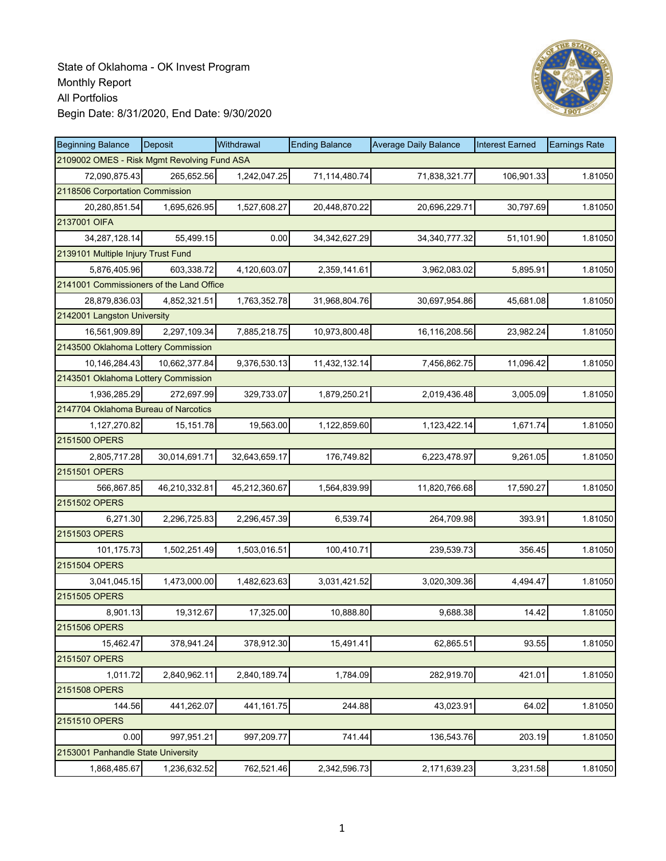

| <b>Beginning Balance</b>                    | <b>Deposit</b> | Withdrawal    | <b>Ending Balance</b> | <b>Average Daily Balance</b> | <b>Interest Earned</b> | <b>Earnings Rate</b> |
|---------------------------------------------|----------------|---------------|-----------------------|------------------------------|------------------------|----------------------|
| 2109002 OMES - Risk Mgmt Revolving Fund ASA |                |               |                       |                              |                        |                      |
| 72,090,875.43                               | 265,652.56     | 1,242,047.25  | 71,114,480.74         | 71,838,321.77                | 106,901.33             | 1.81050              |
| 2118506 Corportation Commission             |                |               |                       |                              |                        |                      |
| 20,280,851.54                               | 1,695,626.95   | 1,527,608.27  | 20,448,870.22         | 20,696,229.71                | 30,797.69              | 1.81050              |
| 2137001 OIFA                                |                |               |                       |                              |                        |                      |
| 34,287,128.14                               | 55,499.15      | 0.00          | 34, 342, 627. 29      | 34, 340, 777. 32             | 51,101.90              | 1.81050              |
| 2139101 Multiple Injury Trust Fund          |                |               |                       |                              |                        |                      |
| 5,876,405.96                                | 603,338.72     | 4,120,603.07  | 2,359,141.61          | 3,962,083.02                 | 5,895.91               | 1.81050              |
| 2141001 Commissioners of the Land Office    |                |               |                       |                              |                        |                      |
| 28,879,836.03                               | 4,852,321.51   | 1,763,352.78  | 31,968,804.76         | 30,697,954.86                | 45,681.08              | 1.81050              |
| 2142001 Langston University                 |                |               |                       |                              |                        |                      |
| 16,561,909.89                               | 2,297,109.34   | 7,885,218.75  | 10,973,800.48         | 16,116,208.56                | 23,982.24              | 1.81050              |
| 2143500 Oklahoma Lottery Commission         |                |               |                       |                              |                        |                      |
| 10,146,284.43                               | 10.662.377.84  | 9,376,530.13  | 11,432,132.14         | 7,456,862.75                 | 11,096.42              | 1.81050              |
| 2143501 Oklahoma Lottery Commission         |                |               |                       |                              |                        |                      |
| 1,936,285.29                                | 272,697.99     | 329,733.07    | 1,879,250.21          | 2,019,436.48                 | 3,005.09               | 1.81050              |
| 2147704 Oklahoma Bureau of Narcotics        |                |               |                       |                              |                        |                      |
| 1,127,270.82                                | 15,151.78      | 19,563.00     | 1,122,859.60          | 1,123,422.14                 | 1,671.74               | 1.81050              |
| 2151500 OPERS                               |                |               |                       |                              |                        |                      |
| 2,805,717.28                                | 30,014,691.71  | 32,643,659.17 | 176,749.82            | 6,223,478.97                 | 9,261.05               | 1.81050              |
| 2151501 OPERS                               |                |               |                       |                              |                        |                      |
| 566,867.85                                  | 46,210,332.81  | 45,212,360.67 | 1,564,839.99          | 11,820,766.68                | 17,590.27              | 1.81050              |
| 2151502 OPERS                               |                |               |                       |                              |                        |                      |
| 6,271.30                                    | 2,296,725.83   | 2,296,457.39  | 6,539.74              | 264,709.98                   | 393.91                 | 1.81050              |
| 2151503 OPERS                               |                |               |                       |                              |                        |                      |
| 101,175.73                                  | 1,502,251.49   | 1,503,016.51  | 100,410.71            | 239,539.73                   | 356.45                 | 1.81050              |
| 2151504 OPERS                               |                |               |                       |                              |                        |                      |
| 3,041,045.15                                | 1,473,000.00   | 1,482,623.63  | 3,031,421.52          | 3,020,309.36                 | 4,494.47               | 1.81050              |
| 2151505 OPERS                               |                |               |                       |                              |                        |                      |
| 8,901.13                                    | 19,312.67      | 17,325.00     | 10,888.80             | 9,688.38                     | 14.42                  | 1.81050              |
| 2151506 OPERS                               |                |               |                       |                              |                        |                      |
| 15,462.47                                   | 378,941.24     | 378,912.30    | 15,491.41             | 62,865.51                    | 93.55                  | 1.81050              |
| 2151507 OPERS                               |                |               |                       |                              |                        |                      |
| 1,011.72                                    | 2,840,962.11   | 2,840,189.74  | 1,784.09              | 282,919.70                   | 421.01                 | 1.81050              |
| 2151508 OPERS                               |                |               |                       |                              |                        |                      |
| 144.56                                      | 441,262.07     | 441,161.75    | 244.88                | 43,023.91                    | 64.02                  | 1.81050              |
| 2151510 OPERS                               |                |               |                       |                              |                        |                      |
| 0.00                                        | 997,951.21     | 997,209.77    | 741.44                | 136,543.76                   | 203.19                 | 1.81050              |
| 2153001 Panhandle State University          |                |               |                       |                              |                        |                      |
| 1,868,485.67                                | 1,236,632.52   | 762,521.46    | 2,342,596.73          | 2,171,639.23                 | 3,231.58               | 1.81050              |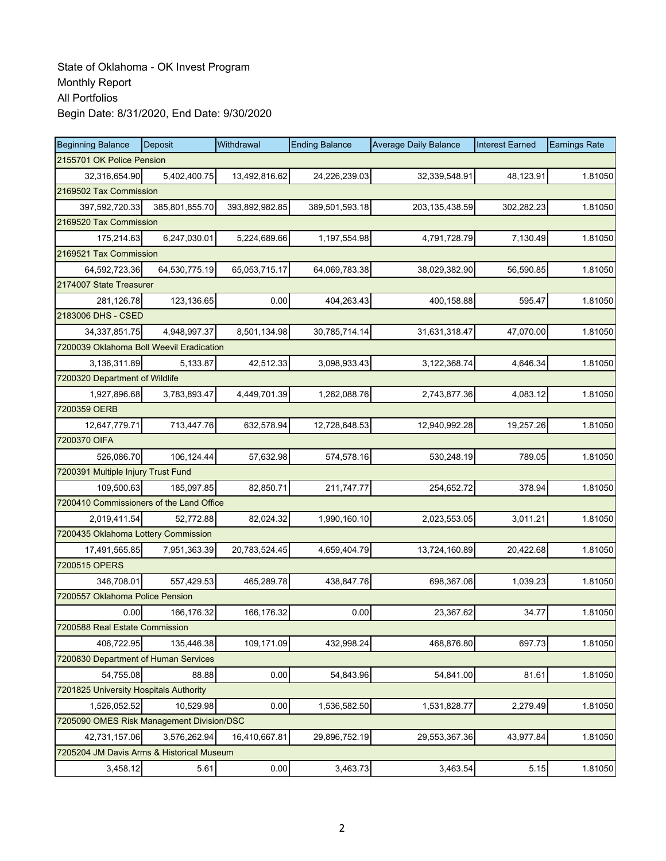| <b>Beginning Balance</b>                  | <b>Deposit</b> | Withdrawal     | <b>Ending Balance</b> | <b>Average Daily Balance</b> | <b>Interest Earned</b> | <b>Earnings Rate</b> |  |  |  |
|-------------------------------------------|----------------|----------------|-----------------------|------------------------------|------------------------|----------------------|--|--|--|
| 2155701 OK Police Pension                 |                |                |                       |                              |                        |                      |  |  |  |
| 32,316,654.90                             | 5,402,400.75   | 13,492,816.62  | 24,226,239.03         | 32,339,548.91                | 48,123.91              | 1.81050              |  |  |  |
| 2169502 Tax Commission                    |                |                |                       |                              |                        |                      |  |  |  |
| 397,592,720.33                            | 385,801,855.70 | 393,892,982.85 | 389,501,593.18        | 203, 135, 438.59             | 302,282.23             | 1.81050              |  |  |  |
| 2169520 Tax Commission                    |                |                |                       |                              |                        |                      |  |  |  |
| 175,214.63                                | 6,247,030.01   | 5,224,689.66   | 1,197,554.98          | 4,791,728.79                 | 7,130.49               | 1.81050              |  |  |  |
| 2169521 Tax Commission                    |                |                |                       |                              |                        |                      |  |  |  |
| 64,592,723.36                             | 64,530,775.19  | 65,053,715.17  | 64,069,783.38         | 38,029,382.90                | 56,590.85              | 1.81050              |  |  |  |
| 2174007 State Treasurer                   |                |                |                       |                              |                        |                      |  |  |  |
| 281,126.78                                | 123,136.65     | 0.00           | 404,263.43            | 400,158.88                   | 595.47                 | 1.81050              |  |  |  |
| 2183006 DHS - CSED                        |                |                |                       |                              |                        |                      |  |  |  |
| 34, 337, 851. 75                          | 4,948,997.37   | 8,501,134.98   | 30,785,714.14         | 31,631,318.47                | 47,070.00              | 1.81050              |  |  |  |
| 7200039 Oklahoma Boll Weevil Eradication  |                |                |                       |                              |                        |                      |  |  |  |
| 3,136,311.89                              | 5,133.87       | 42,512.33      | 3,098,933.43          | 3,122,368.74                 | 4,646.34               | 1.81050              |  |  |  |
| 7200320 Department of Wildlife            |                |                |                       |                              |                        |                      |  |  |  |
| 1,927,896.68                              | 3,783,893.47   | 4,449,701.39   | 1,262,088.76          | 2,743,877.36                 | 4,083.12               | 1.81050              |  |  |  |
| 7200359 OERB                              |                |                |                       |                              |                        |                      |  |  |  |
| 12,647,779.71                             | 713,447.76     | 632,578.94     | 12,728,648.53         | 12,940,992.28                | 19,257.26              | 1.81050              |  |  |  |
| 7200370 OIFA                              |                |                |                       |                              |                        |                      |  |  |  |
| 526,086.70                                | 106,124.44     | 57,632.98      | 574,578.16            | 530,248.19                   | 789.05                 | 1.81050              |  |  |  |
| 7200391 Multiple Injury Trust Fund        |                |                |                       |                              |                        |                      |  |  |  |
| 109,500.63                                | 185,097.85     | 82,850.71      | 211,747.77            | 254,652.72                   | 378.94                 | 1.81050              |  |  |  |
| 7200410 Commissioners of the Land Office  |                |                |                       |                              |                        |                      |  |  |  |
| 2,019,411.54                              | 52,772.88      | 82,024.32      | 1,990,160.10          | 2,023,553.05                 | 3,011.21               | 1.81050              |  |  |  |
| 7200435 Oklahoma Lottery Commission       |                |                |                       |                              |                        |                      |  |  |  |
| 17,491,565.85                             | 7,951,363.39   | 20,783,524.45  | 4,659,404.79          | 13,724,160.89                | 20,422.68              | 1.81050              |  |  |  |
| 7200515 OPERS                             |                |                |                       |                              |                        |                      |  |  |  |
| 346,708.01                                | 557,429.53     | 465,289.78     | 438,847.76            | 698,367.06                   | 1,039.23               | 1.81050              |  |  |  |
| 7200557 Oklahoma Police Pension           |                |                |                       |                              |                        |                      |  |  |  |
| 0.00                                      | 166,176.32     | 166,176.32     | 0.00                  | 23,367.62                    | 34.77                  | 1.81050              |  |  |  |
| 7200588 Real Estate Commission            |                |                |                       |                              |                        |                      |  |  |  |
| 406,722.95                                | 135,446.38     | 109,171.09     | 432,998.24            | 468,876.80                   | 697.73                 | 1.81050              |  |  |  |
| 7200830 Department of Human Services      |                |                |                       |                              |                        |                      |  |  |  |
| 54,755.08                                 | 88.88          | 0.00           | 54,843.96             | 54,841.00                    | 81.61                  | 1.81050              |  |  |  |
| 7201825 University Hospitals Authority    |                |                |                       |                              |                        |                      |  |  |  |
| 1,526,052.52                              | 10,529.98      | 0.00           | 1,536,582.50          | 1,531,828.77                 | 2,279.49               | 1.81050              |  |  |  |
| 7205090 OMES Risk Management Division/DSC |                |                |                       |                              |                        |                      |  |  |  |
| 42,731,157.06                             | 3,576,262.94   | 16,410,667.81  | 29,896,752.19         | 29,553,367.36                | 43,977.84              | 1.81050              |  |  |  |
| 7205204 JM Davis Arms & Historical Museum |                |                |                       |                              |                        |                      |  |  |  |
| 3,458.12                                  | 5.61           | 0.00           | 3,463.73              | 3,463.54                     | 5.15                   | 1.81050              |  |  |  |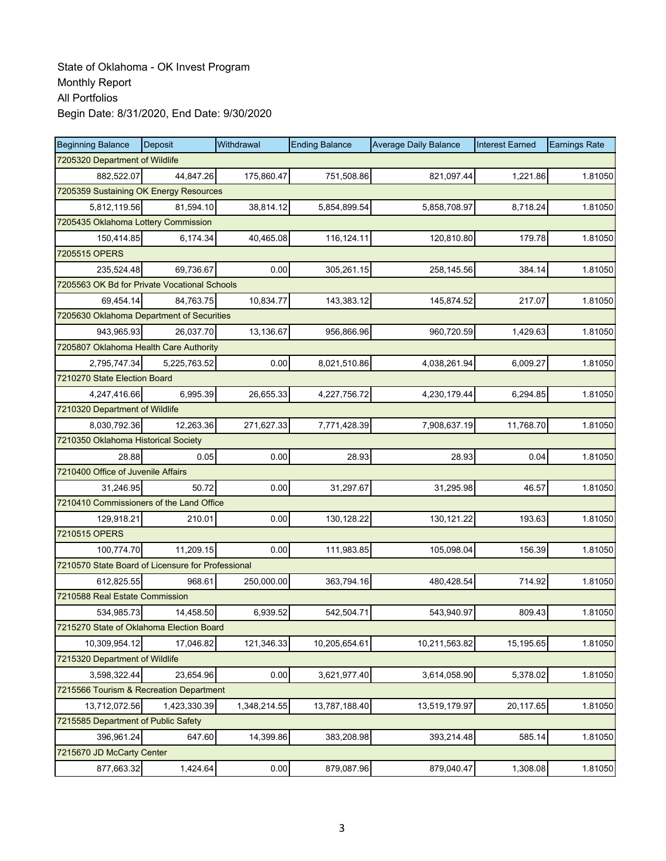| <b>Beginning Balance</b>                          | Deposit                                | Withdrawal   | <b>Ending Balance</b> | <b>Average Daily Balance</b> | <b>Interest Earned</b> | <b>Earnings Rate</b> |  |  |  |  |
|---------------------------------------------------|----------------------------------------|--------------|-----------------------|------------------------------|------------------------|----------------------|--|--|--|--|
| 7205320 Department of Wildlife                    |                                        |              |                       |                              |                        |                      |  |  |  |  |
| 882.522.07                                        | 44,847.26                              | 175,860.47   | 751,508.86            | 821,097.44                   | 1,221.86               | 1.81050              |  |  |  |  |
|                                                   | 7205359 Sustaining OK Energy Resources |              |                       |                              |                        |                      |  |  |  |  |
| 5,812,119.56                                      | 81,594.10                              | 38,814.12    | 5,854,899.54          | 5,858,708.97                 | 8,718.24               | 1.81050              |  |  |  |  |
|                                                   | 7205435 Oklahoma Lottery Commission    |              |                       |                              |                        |                      |  |  |  |  |
| 150,414.85                                        | 6,174.34                               | 40,465.08    | 116,124.11            | 120,810.80                   | 179.78                 | 1.81050              |  |  |  |  |
| 7205515 OPERS                                     |                                        |              |                       |                              |                        |                      |  |  |  |  |
| 235,524.48                                        | 69,736.67                              | 0.00         | 305,261.15            | 258,145.56                   | 384.14                 | 1.81050              |  |  |  |  |
| 7205563 OK Bd for Private Vocational Schools      |                                        |              |                       |                              |                        |                      |  |  |  |  |
| 69,454.14                                         | 84,763.75                              | 10,834.77    | 143,383.12            | 145,874.52                   | 217.07                 | 1.81050              |  |  |  |  |
| 7205630 Oklahoma Department of Securities         |                                        |              |                       |                              |                        |                      |  |  |  |  |
| 943,965.93                                        | 26,037.70                              | 13,136.67    | 956,866.96            | 960,720.59                   | 1,429.63               | 1.81050              |  |  |  |  |
| 7205807 Oklahoma Health Care Authority            |                                        |              |                       |                              |                        |                      |  |  |  |  |
| 2,795,747.34                                      | 5,225,763.52                           | 0.00         | 8,021,510.86          | 4,038,261.94                 | 6,009.27               | 1.81050              |  |  |  |  |
| 7210270 State Election Board                      |                                        |              |                       |                              |                        |                      |  |  |  |  |
| 4,247,416.66                                      | 6,995.39                               | 26,655.33    | 4,227,756.72          | 4,230,179.44                 | 6,294.85               | 1.81050              |  |  |  |  |
| 7210320 Department of Wildlife                    |                                        |              |                       |                              |                        |                      |  |  |  |  |
| 8,030,792.36                                      | 12,263.36                              | 271,627.33   | 7,771,428.39          | 7,908,637.19                 | 11,768.70              | 1.81050              |  |  |  |  |
| 7210350 Oklahoma Historical Society               |                                        |              |                       |                              |                        |                      |  |  |  |  |
| 28.88                                             | 0.05                                   | 0.00         | 28.93                 | 28.93                        | 0.04                   | 1.81050              |  |  |  |  |
| 7210400 Office of Juvenile Affairs                |                                        |              |                       |                              |                        |                      |  |  |  |  |
| 31,246.95                                         | 50.72                                  | 0.00         | 31,297.67             | 31,295.98                    | 46.57                  | 1.81050              |  |  |  |  |
| 7210410 Commissioners of the Land Office          |                                        |              |                       |                              |                        |                      |  |  |  |  |
| 129,918.21                                        | 210.01                                 | 0.00         | 130,128.22            | 130,121.22                   | 193.63                 | 1.81050              |  |  |  |  |
| 7210515 OPERS                                     |                                        |              |                       |                              |                        |                      |  |  |  |  |
| 100,774.70                                        | 11,209.15                              | 0.00         | 111,983.85            | 105,098.04                   | 156.39                 | 1.81050              |  |  |  |  |
| 7210570 State Board of Licensure for Professional |                                        |              |                       |                              |                        |                      |  |  |  |  |
| 612,825.55                                        | 968.61                                 | 250,000.00   | 363,794.16            | 480,428.54                   | 714.92                 | 1.81050              |  |  |  |  |
| 7210588 Real Estate Commission                    |                                        |              |                       |                              |                        |                      |  |  |  |  |
| 534,985.73                                        | 14,458.50                              | 6,939.52     | 542,504.71            | 543,940.97                   | 809.43                 | 1.81050              |  |  |  |  |
| 7215270 State of Oklahoma Election Board          |                                        |              |                       |                              |                        |                      |  |  |  |  |
| 10,309,954.12                                     | 17,046.82                              | 121,346.33   | 10,205,654.61         | 10,211,563.82                | 15,195.65              | 1.81050              |  |  |  |  |
| 7215320 Department of Wildlife                    |                                        |              |                       |                              |                        |                      |  |  |  |  |
| 3,598,322.44                                      | 23,654.96                              | 0.00         | 3,621,977.40          | 3,614,058.90                 | 5,378.02               | 1.81050              |  |  |  |  |
| 7215566 Tourism & Recreation Department           |                                        |              |                       |                              |                        |                      |  |  |  |  |
| 13,712,072.56                                     | 1,423,330.39                           | 1,348,214.55 | 13,787,188.40         | 13,519,179.97                | 20,117.65              | 1.81050              |  |  |  |  |
| 7215585 Department of Public Safety               |                                        |              |                       |                              |                        |                      |  |  |  |  |
| 396,961.24                                        | 647.60                                 | 14,399.86    | 383,208.98            | 393,214.48                   | 585.14                 | 1.81050              |  |  |  |  |
| 7215670 JD McCarty Center                         |                                        |              |                       |                              |                        |                      |  |  |  |  |
| 877,663.32                                        | 1,424.64                               | 0.00         | 879,087.96            | 879,040.47                   | 1,308.08               | 1.81050              |  |  |  |  |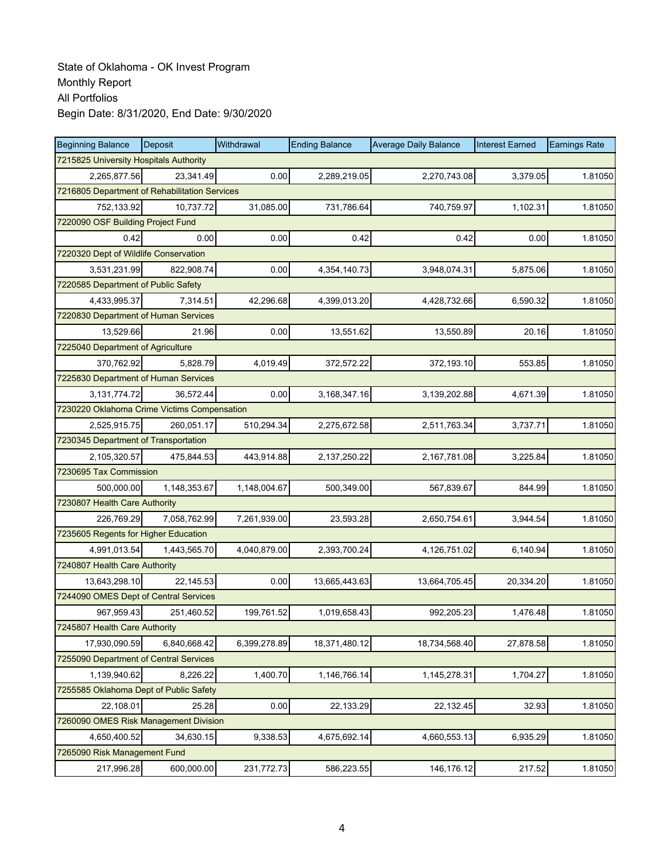| <b>Beginning Balance</b>                    | Deposit                                       | Withdrawal   | <b>Ending Balance</b> | <b>Average Daily Balance</b> | <b>Interest Earned</b> | <b>Earnings Rate</b> |  |  |  |  |
|---------------------------------------------|-----------------------------------------------|--------------|-----------------------|------------------------------|------------------------|----------------------|--|--|--|--|
| 7215825 University Hospitals Authority      |                                               |              |                       |                              |                        |                      |  |  |  |  |
| 2,265,877.56                                | 23,341.49                                     | 0.00         | 2,289,219.05          | 2,270,743.08                 | 3.379.05               | 1.81050              |  |  |  |  |
|                                             | 7216805 Department of Rehabilitation Services |              |                       |                              |                        |                      |  |  |  |  |
| 752,133.92                                  | 10,737.72                                     | 31,085.00    | 731,786.64            | 740,759.97                   | 1,102.31               | 1.81050              |  |  |  |  |
|                                             | 7220090 OSF Building Project Fund             |              |                       |                              |                        |                      |  |  |  |  |
| 0.42                                        | 0.00                                          | 0.00         | 0.42                  | 0.42                         | 0.00                   | 1.81050              |  |  |  |  |
| 7220320 Dept of Wildlife Conservation       |                                               |              |                       |                              |                        |                      |  |  |  |  |
| 3,531,231.99                                | 822,908.74                                    | 0.00         | 4,354,140.73          | 3,948,074.31                 | 5,875.06               | 1.81050              |  |  |  |  |
| 7220585 Department of Public Safety         |                                               |              |                       |                              |                        |                      |  |  |  |  |
| 4,433,995.37                                | 7,314.51                                      | 42,296.68    | 4,399,013.20          | 4,428,732.66                 | 6,590.32               | 1.81050              |  |  |  |  |
| 7220830 Department of Human Services        |                                               |              |                       |                              |                        |                      |  |  |  |  |
| 13,529.66                                   | 21.96                                         | 0.00         | 13,551.62             | 13,550.89                    | 20.16                  | 1.81050              |  |  |  |  |
| 7225040 Department of Agriculture           |                                               |              |                       |                              |                        |                      |  |  |  |  |
| 370.762.92                                  | 5,828.79                                      | 4,019.49     | 372,572.22            | 372,193.10                   | 553.85                 | 1.81050              |  |  |  |  |
| 7225830 Department of Human Services        |                                               |              |                       |                              |                        |                      |  |  |  |  |
| 3, 131, 774. 72                             | 36,572.44                                     | 0.00         | 3,168,347.16          | 3,139,202.88                 | 4,671.39               | 1.81050              |  |  |  |  |
| 7230220 Oklahoma Crime Victims Compensation |                                               |              |                       |                              |                        |                      |  |  |  |  |
| 2,525,915.75                                | 260,051.17                                    | 510,294.34   | 2,275,672.58          | 2,511,763.34                 | 3,737.71               | 1.81050              |  |  |  |  |
| 7230345 Department of Transportation        |                                               |              |                       |                              |                        |                      |  |  |  |  |
| 2,105,320.57                                | 475,844.53                                    | 443,914.88   | 2,137,250.22          | 2,167,781.08                 | 3,225.84               | 1.81050              |  |  |  |  |
| 7230695 Tax Commission                      |                                               |              |                       |                              |                        |                      |  |  |  |  |
| 500,000.00                                  | 1,148,353.67                                  | 1,148,004.67 | 500,349.00            | 567,839.67                   | 844.99                 | 1.81050              |  |  |  |  |
| 7230807 Health Care Authority               |                                               |              |                       |                              |                        |                      |  |  |  |  |
| 226,769.29                                  | 7,058,762.99                                  | 7,261,939.00 | 23,593.28             | 2,650,754.61                 | 3,944.54               | 1.81050              |  |  |  |  |
| 7235605 Regents for Higher Education        |                                               |              |                       |                              |                        |                      |  |  |  |  |
| 4,991,013.54                                | 1,443,565.70                                  | 4,040,879.00 | 2,393,700.24          | 4,126,751.02                 | 6,140.94               | 1.81050              |  |  |  |  |
| 7240807 Health Care Authority               |                                               |              |                       |                              |                        |                      |  |  |  |  |
| 13,643,298.10                               | 22,145.53                                     | 0.00         | 13,665,443.63         | 13,664,705.45                | 20,334.20              | 1.81050              |  |  |  |  |
| 7244090 OMES Dept of Central Services       |                                               |              |                       |                              |                        |                      |  |  |  |  |
| 967,959.43                                  | 251,460.52                                    | 199,761.52   | 1,019,658.43          | 992,205.23                   | 1,476.48               | 1.81050              |  |  |  |  |
| 7245807 Health Care Authority               |                                               |              |                       |                              |                        |                      |  |  |  |  |
| 17,930,090.59                               | 6,840,668.42                                  | 6,399,278.89 | 18,371,480.12         | 18,734,568.40                | 27,878.58              | 1.81050              |  |  |  |  |
| 7255090 Department of Central Services      |                                               |              |                       |                              |                        |                      |  |  |  |  |
| 1,139,940.62                                | 8,226.22                                      | 1,400.70     | 1,146,766.14          | 1,145,278.31                 | 1,704.27               | 1.81050              |  |  |  |  |
| 7255585 Oklahoma Dept of Public Safety      |                                               |              |                       |                              |                        |                      |  |  |  |  |
| 22,108.01                                   | 25.28                                         | 0.00         | 22,133.29             | 22,132.45                    | 32.93                  | 1.81050              |  |  |  |  |
| 7260090 OMES Risk Management Division       |                                               |              |                       |                              |                        |                      |  |  |  |  |
| 4,650,400.52                                | 34,630.15                                     | 9,338.53     | 4,675,692.14          | 4,660,553.13                 | 6,935.29               | 1.81050              |  |  |  |  |
| 7265090 Risk Management Fund                |                                               |              |                       |                              |                        |                      |  |  |  |  |
| 217,996.28                                  | 600,000.00                                    | 231,772.73   | 586,223.55            | 146,176.12                   | 217.52                 | 1.81050              |  |  |  |  |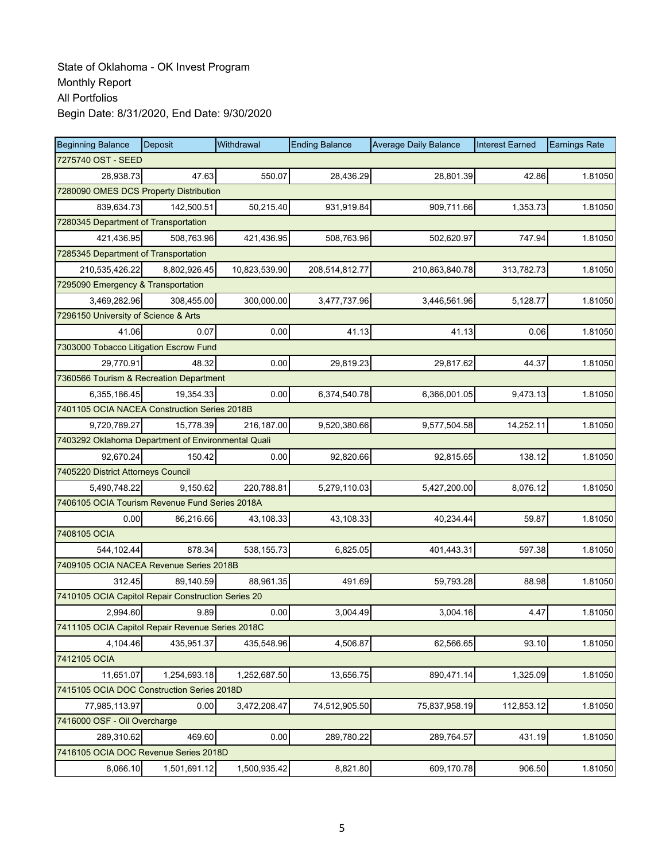| <b>Beginning Balance</b>                           | Deposit                                | Withdrawal    | <b>Ending Balance</b> | <b>Average Daily Balance</b> | <b>Interest Earned</b> | <b>Earnings Rate</b> |  |  |  |  |
|----------------------------------------------------|----------------------------------------|---------------|-----------------------|------------------------------|------------------------|----------------------|--|--|--|--|
| 7275740 OST - SEED                                 |                                        |               |                       |                              |                        |                      |  |  |  |  |
| 28,938.73                                          | 47.63                                  | 550.07        | 28,436.29             | 28,801.39                    | 42.86                  | 1.81050              |  |  |  |  |
|                                                    | 7280090 OMES DCS Property Distribution |               |                       |                              |                        |                      |  |  |  |  |
| 839,634.73                                         | 142,500.51                             | 50,215.40     | 931,919.84            | 909,711.66                   | 1,353.73               | 1.81050              |  |  |  |  |
| 7280345 Department of Transportation               |                                        |               |                       |                              |                        |                      |  |  |  |  |
| 421,436.95                                         | 508,763.96                             | 421,436.95    | 508,763.96            | 502,620.97                   | 747.94                 | 1.81050              |  |  |  |  |
| 7285345 Department of Transportation               |                                        |               |                       |                              |                        |                      |  |  |  |  |
| 210,535,426.22                                     | 8,802,926.45                           | 10,823,539.90 | 208,514,812.77        | 210,863,840.78               | 313,782.73             | 1.81050              |  |  |  |  |
| 7295090 Emergency & Transportation                 |                                        |               |                       |                              |                        |                      |  |  |  |  |
| 3,469,282.96                                       | 308,455.00                             | 300,000.00    | 3,477,737.96          | 3,446,561.96                 | 5,128.77               | 1.81050              |  |  |  |  |
| 7296150 University of Science & Arts               |                                        |               |                       |                              |                        |                      |  |  |  |  |
| 41.06                                              | 0.07                                   | 0.00          | 41.13                 | 41.13                        | 0.06                   | 1.81050              |  |  |  |  |
| 7303000 Tobacco Litigation Escrow Fund             |                                        |               |                       |                              |                        |                      |  |  |  |  |
| 29,770.91                                          | 48.32                                  | 0.00          | 29,819.23             | 29,817.62                    | 44.37                  | 1.81050              |  |  |  |  |
| 7360566 Tourism & Recreation Department            |                                        |               |                       |                              |                        |                      |  |  |  |  |
| 6,355,186.45                                       | 19,354.33                              | 0.00          | 6,374,540.78          | 6,366,001.05                 | 9,473.13               | 1.81050              |  |  |  |  |
| 7401105 OCIA NACEA Construction Series 2018B       |                                        |               |                       |                              |                        |                      |  |  |  |  |
| 9,720,789.27                                       | 15,778.39                              | 216,187.00    | 9,520,380.66          | 9,577,504.58                 | 14,252.11              | 1.81050              |  |  |  |  |
| 7403292 Oklahoma Department of Environmental Quali |                                        |               |                       |                              |                        |                      |  |  |  |  |
| 92,670.24                                          | 150.42                                 | 0.00          | 92,820.66             | 92,815.65                    | 138.12                 | 1.81050              |  |  |  |  |
| 7405220 District Attorneys Council                 |                                        |               |                       |                              |                        |                      |  |  |  |  |
| 5,490,748.22                                       | 9,150.62                               | 220,788.81    | 5,279,110.03          | 5,427,200.00                 | 8,076.12               | 1.81050              |  |  |  |  |
| 7406105 OCIA Tourism Revenue Fund Series 2018A     |                                        |               |                       |                              |                        |                      |  |  |  |  |
| 0.00                                               | 86,216.66                              | 43,108.33     | 43,108.33             | 40,234.44                    | 59.87                  | 1.81050              |  |  |  |  |
| 7408105 OCIA                                       |                                        |               |                       |                              |                        |                      |  |  |  |  |
| 544,102.44                                         | 878.34                                 | 538, 155.73   | 6,825.05              | 401,443.31                   | 597.38                 | 1.81050              |  |  |  |  |
| 7409105 OCIA NACEA Revenue Series 2018B            |                                        |               |                       |                              |                        |                      |  |  |  |  |
| 312.45                                             | 89,140.59                              | 88,961.35     | 491.69                | 59,793.28                    | 88.98                  | 1.81050              |  |  |  |  |
| 7410105 OCIA Capitol Repair Construction Series 20 |                                        |               |                       |                              |                        |                      |  |  |  |  |
| 2,994.60                                           | 9.89                                   | 0.00          | 3,004.49              | 3,004.16                     | 4.47                   | 1.81050              |  |  |  |  |
| 7411105 OCIA Capitol Repair Revenue Series 2018C   |                                        |               |                       |                              |                        |                      |  |  |  |  |
| 4,104.46                                           | 435,951.37                             | 435,548.96    | 4,506.87              | 62,566.65                    | 93.10                  | 1.81050              |  |  |  |  |
| 7412105 OCIA                                       |                                        |               |                       |                              |                        |                      |  |  |  |  |
| 11,651.07                                          | 1,254,693.18                           | 1,252,687.50  | 13,656.75             | 890,471.14                   | 1,325.09               | 1.81050              |  |  |  |  |
| 7415105 OCIA DOC Construction Series 2018D         |                                        |               |                       |                              |                        |                      |  |  |  |  |
| 77,985,113.97                                      | 0.00                                   | 3,472,208.47  | 74,512,905.50         | 75,837,958.19                | 112,853.12             | 1.81050              |  |  |  |  |
| 7416000 OSF - Oil Overcharge                       |                                        |               |                       |                              |                        |                      |  |  |  |  |
| 289,310.62                                         | 469.60                                 | 0.00          | 289,780.22            | 289,764.57                   | 431.19                 | 1.81050              |  |  |  |  |
| 7416105 OCIA DOC Revenue Series 2018D              |                                        |               |                       |                              |                        |                      |  |  |  |  |
| 8,066.10                                           | 1,501,691.12                           | 1,500,935.42  | 8,821.80              | 609,170.78                   | 906.50                 | 1.81050              |  |  |  |  |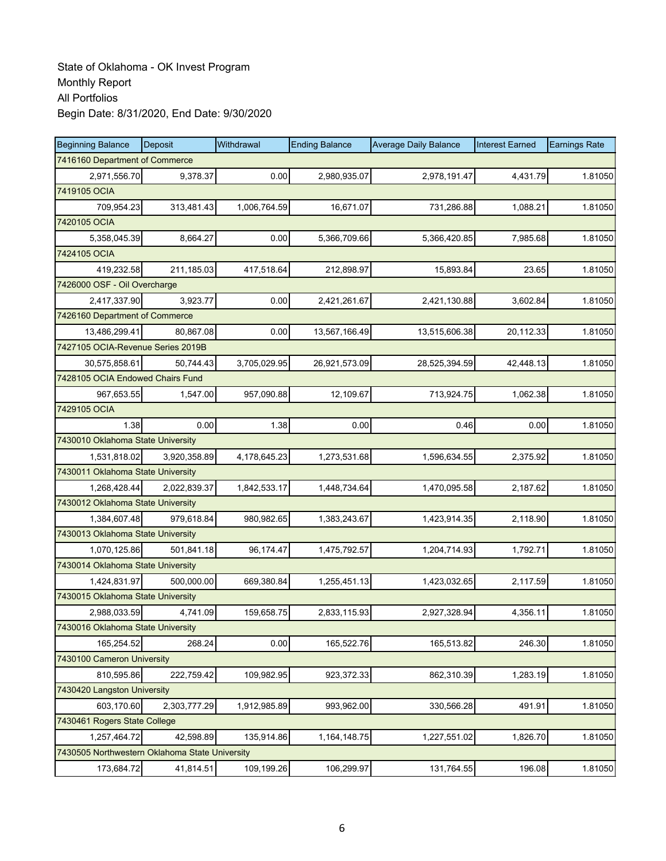| <b>Beginning Balance</b>                       | Deposit      | Withdrawal   | <b>Ending Balance</b> | <b>Average Daily Balance</b> | <b>Interest Earned</b> | <b>Earnings Rate</b> |  |  |  |
|------------------------------------------------|--------------|--------------|-----------------------|------------------------------|------------------------|----------------------|--|--|--|
| 7416160 Department of Commerce                 |              |              |                       |                              |                        |                      |  |  |  |
| 2,971,556.70                                   | 9,378.37     | 0.00         | 2,980,935.07          | 2,978,191.47                 | 4,431.79               | 1.81050              |  |  |  |
| 7419105 OCIA                                   |              |              |                       |                              |                        |                      |  |  |  |
| 709,954.23                                     | 313,481.43   | 1,006,764.59 | 16,671.07             | 731,286.88                   | 1,088.21               | 1.81050              |  |  |  |
| 7420105 OCIA                                   |              |              |                       |                              |                        |                      |  |  |  |
| 5,358,045.39                                   | 8,664.27     | 0.00         | 5,366,709.66          | 5,366,420.85                 | 7,985.68               | 1.81050              |  |  |  |
| 7424105 OCIA                                   |              |              |                       |                              |                        |                      |  |  |  |
| 419,232.58                                     | 211,185.03   | 417,518.64   | 212,898.97            | 15,893.84                    | 23.65                  | 1.81050              |  |  |  |
| 7426000 OSF - Oil Overcharge                   |              |              |                       |                              |                        |                      |  |  |  |
| 2,417,337.90                                   | 3,923.77     | 0.00         | 2,421,261.67          | 2,421,130.88                 | 3,602.84               | 1.81050              |  |  |  |
| 7426160 Department of Commerce                 |              |              |                       |                              |                        |                      |  |  |  |
| 13,486,299.41                                  | 80,867.08    | 0.00         | 13,567,166.49         | 13,515,606.38                | 20,112.33              | 1.81050              |  |  |  |
| 7427105 OCIA-Revenue Series 2019B              |              |              |                       |                              |                        |                      |  |  |  |
| 30,575,858.61                                  | 50.744.43    | 3,705,029.95 | 26,921,573.09         | 28,525,394.59                | 42.448.13              | 1.81050              |  |  |  |
| 7428105 OCIA Endowed Chairs Fund               |              |              |                       |                              |                        |                      |  |  |  |
| 967,653.55                                     | 1,547.00     | 957,090.88   | 12,109.67             | 713,924.75                   | 1,062.38               | 1.81050              |  |  |  |
| 7429105 OCIA                                   |              |              |                       |                              |                        |                      |  |  |  |
| 1.38                                           | 0.00         | 1.38         | 0.00                  | 0.46                         | 0.00                   | 1.81050              |  |  |  |
| 7430010 Oklahoma State University              |              |              |                       |                              |                        |                      |  |  |  |
| 1,531,818.02                                   | 3,920,358.89 | 4,178,645.23 | 1,273,531.68          | 1,596,634.55                 | 2,375.92               | 1.81050              |  |  |  |
| 7430011 Oklahoma State University              |              |              |                       |                              |                        |                      |  |  |  |
| 1,268,428.44                                   | 2,022,839.37 | 1,842,533.17 | 1,448,734.64          | 1,470,095.58                 | 2,187.62               | 1.81050              |  |  |  |
| 7430012 Oklahoma State University              |              |              |                       |                              |                        |                      |  |  |  |
| 1,384,607.48                                   | 979,618.84   | 980,982.65   | 1,383,243.67          | 1,423,914.35                 | 2,118.90               | 1.81050              |  |  |  |
| 7430013 Oklahoma State University              |              |              |                       |                              |                        |                      |  |  |  |
| 1,070,125.86                                   | 501,841.18   | 96,174.47    | 1,475,792.57          | 1,204,714.93                 | 1,792.71               | 1.81050              |  |  |  |
| 7430014 Oklahoma State University              |              |              |                       |                              |                        |                      |  |  |  |
| 1,424,831.97                                   | 500,000.00   | 669,380.84   | 1,255,451.13          | 1,423,032.65                 | 2,117.59               | 1.81050              |  |  |  |
| 7430015 Oklahoma State University              |              |              |                       |                              |                        |                      |  |  |  |
| 2,988,033.59                                   | 4,741.09     | 159,658.75   | 2,833,115.93          | 2,927,328.94                 | 4,356.11               | 1.81050              |  |  |  |
| 7430016 Oklahoma State University              |              |              |                       |                              |                        |                      |  |  |  |
| 165,254.52                                     | 268.24       | 0.00         | 165,522.76            | 165,513.82                   | 246.30                 | 1.81050              |  |  |  |
| 7430100 Cameron University                     |              |              |                       |                              |                        |                      |  |  |  |
| 810,595.86                                     | 222,759.42   | 109,982.95   | 923,372.33            | 862,310.39                   | 1,283.19               | 1.81050              |  |  |  |
| 7430420 Langston University                    |              |              |                       |                              |                        |                      |  |  |  |
| 603,170.60                                     | 2,303,777.29 | 1,912,985.89 | 993,962.00            | 330,566.28                   | 491.91                 | 1.81050              |  |  |  |
| 7430461 Rogers State College                   |              |              |                       |                              |                        |                      |  |  |  |
| 1,257,464.72                                   | 42,598.89    | 135,914.86   | 1,164,148.75          | 1,227,551.02                 | 1,826.70               | 1.81050              |  |  |  |
| 7430505 Northwestern Oklahoma State University |              |              |                       |                              |                        |                      |  |  |  |
| 173,684.72                                     | 41,814.51    | 109,199.26   | 106,299.97            | 131,764.55                   | 196.08                 | 1.81050              |  |  |  |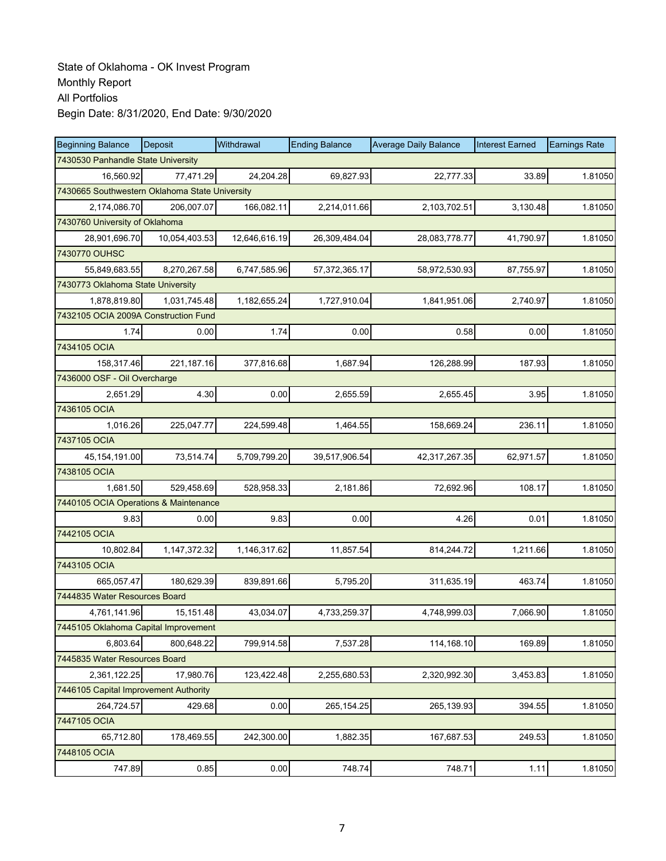| <b>Beginning Balance</b>                       | Deposit                        | Withdrawal    | <b>Ending Balance</b> | <b>Average Daily Balance</b> | <b>Interest Earned</b> | <b>Earnings Rate</b> |  |  |  |  |
|------------------------------------------------|--------------------------------|---------------|-----------------------|------------------------------|------------------------|----------------------|--|--|--|--|
| 7430530 Panhandle State University             |                                |               |                       |                              |                        |                      |  |  |  |  |
| 16,560.92                                      | 77,471.29                      | 24,204.28     | 69,827.93             | 22,777.33                    | 33.89                  | 1.81050              |  |  |  |  |
| 7430665 Southwestern Oklahoma State University |                                |               |                       |                              |                        |                      |  |  |  |  |
| 2,174,086.70                                   | 206,007.07                     | 166,082.11    | 2,214,011.66          | 2,103,702.51                 | 3,130.48               | 1.81050              |  |  |  |  |
|                                                | 7430760 University of Oklahoma |               |                       |                              |                        |                      |  |  |  |  |
| 28,901,696.70                                  | 10,054,403.53                  | 12,646,616.19 | 26,309,484.04         | 28,083,778.77                | 41,790.97              | 1.81050              |  |  |  |  |
| 7430770 OUHSC                                  |                                |               |                       |                              |                        |                      |  |  |  |  |
| 55.849.683.55                                  | 8,270,267.58                   | 6,747,585.96  | 57,372,365.17         | 58,972,530.93                | 87,755.97              | 1.81050              |  |  |  |  |
| 7430773 Oklahoma State University              |                                |               |                       |                              |                        |                      |  |  |  |  |
| 1,878,819.80                                   | 1,031,745.48                   | 1,182,655.24  | 1,727,910.04          | 1,841,951.06                 | 2,740.97               | 1.81050              |  |  |  |  |
| 7432105 OCIA 2009A Construction Fund           |                                |               |                       |                              |                        |                      |  |  |  |  |
| 1.74                                           | 0.00                           | 1.74          | 0.00                  | 0.58                         | 0.00                   | 1.81050              |  |  |  |  |
| 7434105 OCIA                                   |                                |               |                       |                              |                        |                      |  |  |  |  |
| 158,317.46                                     | 221,187.16                     | 377,816.68    | 1,687.94              | 126,288.99                   | 187.93                 | 1.81050              |  |  |  |  |
| 7436000 OSF - Oil Overcharge                   |                                |               |                       |                              |                        |                      |  |  |  |  |
| 2,651.29                                       | 4.30                           | 0.00          | 2,655.59              | 2,655.45                     | 3.95                   | 1.81050              |  |  |  |  |
| 7436105 OCIA                                   |                                |               |                       |                              |                        |                      |  |  |  |  |
| 1,016.26                                       | 225,047.77                     | 224,599.48    | 1,464.55              | 158,669.24                   | 236.11                 | 1.81050              |  |  |  |  |
| 7437105 OCIA                                   |                                |               |                       |                              |                        |                      |  |  |  |  |
| 45, 154, 191.00                                | 73,514.74                      | 5,709,799.20  | 39,517,906.54         | 42,317,267.35                | 62,971.57              | 1.81050              |  |  |  |  |
| 7438105 OCIA                                   |                                |               |                       |                              |                        |                      |  |  |  |  |
| 1,681.50                                       | 529,458.69                     | 528,958.33    | 2,181.86              | 72,692.96                    | 108.17                 | 1.81050              |  |  |  |  |
| 7440105 OCIA Operations & Maintenance          |                                |               |                       |                              |                        |                      |  |  |  |  |
| 9.83                                           | 0.00                           | 9.83          | 0.00                  | 4.26                         | 0.01                   | 1.81050              |  |  |  |  |
| 7442105 OCIA                                   |                                |               |                       |                              |                        |                      |  |  |  |  |
| 10,802.84                                      | 1,147,372.32                   | 1,146,317.62  | 11,857.54             | 814,244.72                   | 1,211.66               | 1.81050              |  |  |  |  |
| 7443105 OCIA                                   |                                |               |                       |                              |                        |                      |  |  |  |  |
| 665,057.47                                     | 180,629.39                     | 839,891.66    | 5,795.20              | 311,635.19                   | 463.74                 | 1.81050              |  |  |  |  |
| 7444835 Water Resources Board                  |                                |               |                       |                              |                        |                      |  |  |  |  |
| 4,761,141.96                                   | 15,151.48                      | 43,034.07     | 4,733,259.37          | 4,748,999.03                 | 7,066.90               | 1.81050              |  |  |  |  |
| 7445105 Oklahoma Capital Improvement           |                                |               |                       |                              |                        |                      |  |  |  |  |
| 6,803.64                                       | 800,648.22                     | 799,914.58    | 7,537.28              | 114,168.10                   | 169.89                 | 1.81050              |  |  |  |  |
| 7445835 Water Resources Board                  |                                |               |                       |                              |                        |                      |  |  |  |  |
| 2,361,122.25                                   | 17,980.76                      | 123,422.48    | 2,255,680.53          | 2,320,992.30                 | 3,453.83               | 1.81050              |  |  |  |  |
| 7446105 Capital Improvement Authority          |                                |               |                       |                              |                        |                      |  |  |  |  |
| 264,724.57                                     | 429.68                         | 0.00          | 265,154.25            | 265,139.93                   | 394.55                 | 1.81050              |  |  |  |  |
| 7447105 OCIA                                   |                                |               |                       |                              |                        |                      |  |  |  |  |
| 65,712.80                                      | 178,469.55                     | 242,300.00    | 1,882.35              | 167,687.53                   | 249.53                 | 1.81050              |  |  |  |  |
| 7448105 OCIA                                   |                                |               |                       |                              |                        |                      |  |  |  |  |
| 747.89                                         | 0.85                           | 0.00          | 748.74                | 748.71                       | 1.11                   | 1.81050              |  |  |  |  |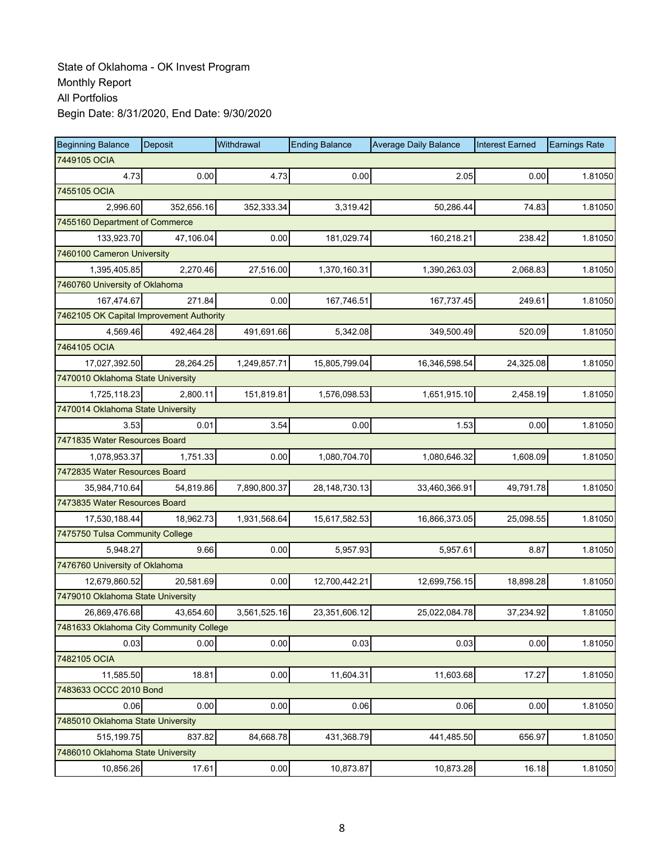| <b>Beginning Balance</b>                 | Deposit    | Withdrawal   | <b>Ending Balance</b> | <b>Average Daily Balance</b> | <b>Interest Earned</b> | <b>Earnings Rate</b> |
|------------------------------------------|------------|--------------|-----------------------|------------------------------|------------------------|----------------------|
| 7449105 OCIA                             |            |              |                       |                              |                        |                      |
| 4.73                                     | 0.00       | 4.73         | 0.00                  | 2.05                         | 0.00                   | 1.81050              |
| 7455105 OCIA                             |            |              |                       |                              |                        |                      |
| 2,996.60                                 | 352,656.16 | 352,333.34   | 3,319.42              | 50.286.44                    | 74.83                  | 1.81050              |
| 7455160 Department of Commerce           |            |              |                       |                              |                        |                      |
| 133,923.70                               | 47,106.04  | 0.00         | 181,029.74            | 160,218.21                   | 238.42                 | 1.81050              |
| 7460100 Cameron University               |            |              |                       |                              |                        |                      |
| 1,395,405.85                             | 2,270.46   | 27,516.00    | 1,370,160.31          | 1,390,263.03                 | 2,068.83               | 1.81050              |
| 7460760 University of Oklahoma           |            |              |                       |                              |                        |                      |
| 167,474.67                               | 271.84     | 0.00         | 167,746.51            | 167,737.45                   | 249.61                 | 1.81050              |
| 7462105 OK Capital Improvement Authority |            |              |                       |                              |                        |                      |
| 4,569.46                                 | 492,464.28 | 491,691.66   | 5,342.08              | 349,500.49                   | 520.09                 | 1.81050              |
| 7464105 OCIA                             |            |              |                       |                              |                        |                      |
| 17,027,392.50                            | 28,264.25  | 1,249,857.71 | 15,805,799.04         | 16,346,598.54                | 24,325.08              | 1.81050              |
| 7470010 Oklahoma State University        |            |              |                       |                              |                        |                      |
| 1,725,118.23                             | 2,800.11   | 151,819.81   | 1,576,098.53          | 1,651,915.10                 | 2,458.19               | 1.81050              |
| 7470014 Oklahoma State University        |            |              |                       |                              |                        |                      |
| 3.53                                     | 0.01       | 3.54         | 0.00                  | 1.53                         | 0.00                   | 1.81050              |
| 7471835 Water Resources Board            |            |              |                       |                              |                        |                      |
| 1,078,953.37                             | 1,751.33   | 0.00         | 1,080,704.70          | 1,080,646.32                 | 1,608.09               | 1.81050              |
| 7472835 Water Resources Board            |            |              |                       |                              |                        |                      |
| 35,984,710.64                            | 54,819.86  | 7,890,800.37 | 28, 148, 730. 13      | 33,460,366.91                | 49,791.78              | 1.81050              |
| 7473835 Water Resources Board            |            |              |                       |                              |                        |                      |
| 17,530,188.44                            | 18,962.73  | 1,931,568.64 | 15,617,582.53         | 16,866,373.05                | 25,098.55              | 1.81050              |
| 7475750 Tulsa Community College          |            |              |                       |                              |                        |                      |
| 5,948.27                                 | 9.66       | 0.00         | 5,957.93              | 5,957.61                     | 8.87                   | 1.81050              |
| 7476760 University of Oklahoma           |            |              |                       |                              |                        |                      |
| 12,679,860.52                            | 20,581.69  | 0.00         | 12,700,442.21         | 12,699,756.15                | 18,898.28              | 1.81050              |
| 7479010 Oklahoma State University        |            |              |                       |                              |                        |                      |
| 26,869,476.68                            | 43,654.60  | 3,561,525.16 | 23,351,606.12         | 25,022,084.78                | 37,234.92              | 1.81050              |
| 7481633 Oklahoma City Community College  |            |              |                       |                              |                        |                      |
| 0.03                                     | 0.00       | 0.00         | 0.03                  | 0.03                         | 0.00                   | 1.81050              |
| 7482105 OCIA                             |            |              |                       |                              |                        |                      |
| 11,585.50                                | 18.81      | 0.00         | 11,604.31             | 11,603.68                    | 17.27                  | 1.81050              |
| 7483633 OCCC 2010 Bond                   |            |              |                       |                              |                        |                      |
| 0.06                                     | 0.00       | 0.00         | 0.06                  | 0.06                         | 0.00                   | 1.81050              |
| 7485010 Oklahoma State University        |            |              |                       |                              |                        |                      |
| 515,199.75                               | 837.82     | 84,668.78    | 431,368.79            | 441,485.50                   | 656.97                 | 1.81050              |
| 7486010 Oklahoma State University        |            |              |                       |                              |                        |                      |
| 10,856.26                                | 17.61      | 0.00         | 10,873.87             | 10,873.28                    | 16.18                  | 1.81050              |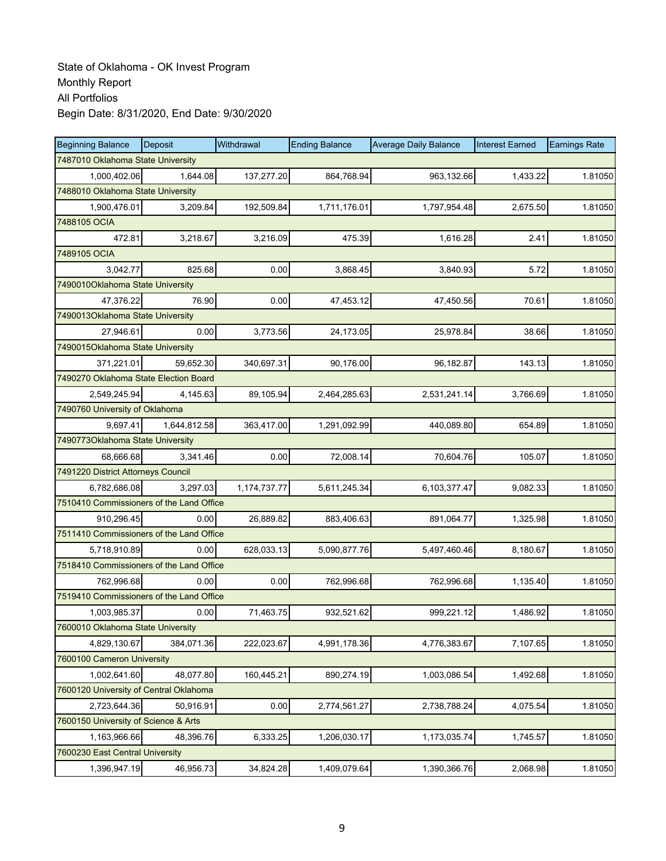| <b>Beginning Balance</b>                 | Deposit      | Withdrawal   | <b>Ending Balance</b> | <b>Average Daily Balance</b> | <b>Interest Earned</b> | <b>Earnings Rate</b> |
|------------------------------------------|--------------|--------------|-----------------------|------------------------------|------------------------|----------------------|
| 7487010 Oklahoma State University        |              |              |                       |                              |                        |                      |
| 1,000,402.06                             | 1,644.08     | 137,277.20   | 864,768.94            | 963,132.66                   | 1,433.22               | 1.81050              |
| 7488010 Oklahoma State University        |              |              |                       |                              |                        |                      |
| 1,900,476.01                             | 3,209.84     | 192,509.84   | 1,711,176.01          | 1,797,954.48                 | 2,675.50               | 1.81050              |
| 7488105 OCIA                             |              |              |                       |                              |                        |                      |
| 472.81                                   | 3,218.67     | 3,216.09     | 475.39                | 1,616.28                     | 2.41                   | 1.81050              |
| 7489105 OCIA                             |              |              |                       |                              |                        |                      |
| 3,042.77                                 | 825.68       | 0.00         | 3,868.45              | 3,840.93                     | 5.72                   | 1.81050              |
| 7490010Oklahoma State University         |              |              |                       |                              |                        |                      |
| 47,376.22                                | 76.90        | 0.00         | 47,453.12             | 47,450.56                    | 70.61                  | 1.81050              |
| 7490013Oklahoma State University         |              |              |                       |                              |                        |                      |
| 27,946.61                                | 0.00         | 3,773.56     | 24,173.05             | 25,978.84                    | 38.66                  | 1.81050              |
| 7490015Oklahoma State University         |              |              |                       |                              |                        |                      |
| 371,221.01                               | 59.652.30    | 340,697.31   | 90,176.00             | 96.182.87                    | 143.13                 | 1.81050              |
| 7490270 Oklahoma State Election Board    |              |              |                       |                              |                        |                      |
| 2,549,245.94                             | 4,145.63     | 89,105.94    | 2,464,285.63          | 2,531,241.14                 | 3,766.69               | 1.81050              |
| 7490760 University of Oklahoma           |              |              |                       |                              |                        |                      |
| 9.697.41                                 | 1,644,812.58 | 363,417.00   | 1,291,092.99          | 440.089.80                   | 654.89                 | 1.81050              |
| 7490773Oklahoma State University         |              |              |                       |                              |                        |                      |
| 68,666.68                                | 3,341.46     | 0.00         | 72,008.14             | 70,604.76                    | 105.07                 | 1.81050              |
| 7491220 District Attorneys Council       |              |              |                       |                              |                        |                      |
| 6,782,686.08                             | 3,297.03     | 1,174,737.77 | 5,611,245.34          | 6,103,377.47                 | 9,082.33               | 1.81050              |
| 7510410 Commissioners of the Land Office |              |              |                       |                              |                        |                      |
| 910,296.45                               | 0.00         | 26,889.82    | 883,406.63            | 891,064.77                   | 1,325.98               | 1.81050              |
| 7511410 Commissioners of the Land Office |              |              |                       |                              |                        |                      |
| 5,718,910.89                             | 0.00         | 628,033.13   | 5,090,877.76          | 5,497,460.46                 | 8,180.67               | 1.81050              |
| 7518410 Commissioners of the Land Office |              |              |                       |                              |                        |                      |
| 762,996.68                               | 0.00         | 0.00         | 762,996.68            | 762,996.68                   | 1,135.40               | 1.81050              |
| 7519410 Commissioners of the Land Office |              |              |                       |                              |                        |                      |
| 1,003,985.37                             | 0.00         | 71,463.75    | 932,521.62            | 999,221.12                   | 1,486.92               | 1.81050              |
| 7600010 Oklahoma State University        |              |              |                       |                              |                        |                      |
| 4,829,130.67                             | 384,071.36   | 222,023.67   | 4,991,178.36          | 4,776,383.67                 | 7,107.65               | 1.81050              |
| 7600100 Cameron University               |              |              |                       |                              |                        |                      |
| 1,002,641.60                             | 48,077.80    | 160,445.21   | 890,274.19            | 1,003,086.54                 | 1,492.68               | 1.81050              |
| 7600120 University of Central Oklahoma   |              |              |                       |                              |                        |                      |
| 2,723,644.36                             | 50,916.91    | 0.00         | 2,774,561.27          | 2,738,788.24                 | 4,075.54               | 1.81050              |
| 7600150 University of Science & Arts     |              |              |                       |                              |                        |                      |
| 1,163,966.66                             | 48,396.76    | 6,333.25     | 1,206,030.17          | 1,173,035.74                 | 1,745.57               | 1.81050              |
| 7600230 East Central University          |              |              |                       |                              |                        |                      |
| 1,396,947.19                             | 46,956.73    | 34,824.28    | 1,409,079.64          | 1,390,366.76                 | 2,068.98               | 1.81050              |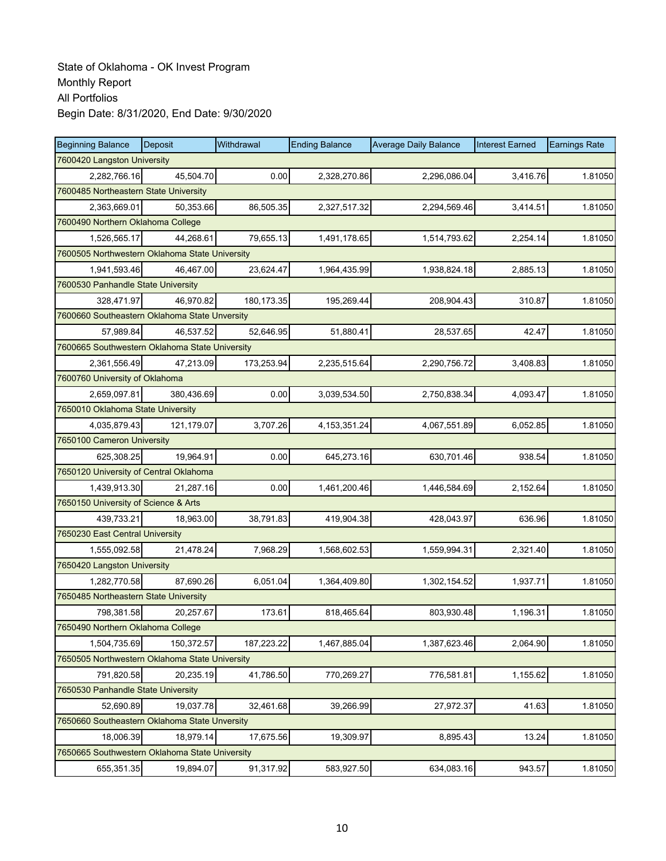| <b>Beginning Balance</b>                       | Deposit    | Withdrawal  | <b>Ending Balance</b> | <b>Average Daily Balance</b> | <b>Interest Earned</b> | <b>Earnings Rate</b> |  |  |
|------------------------------------------------|------------|-------------|-----------------------|------------------------------|------------------------|----------------------|--|--|
| 7600420 Langston University                    |            |             |                       |                              |                        |                      |  |  |
| 2,282,766.16                                   | 45,504.70  | 0.00        | 2,328,270.86          | 2,296,086.04                 | 3,416.76               | 1.81050              |  |  |
| 7600485 Northeastern State University          |            |             |                       |                              |                        |                      |  |  |
| 2,363,669.01                                   | 50,353.66  | 86,505.35   | 2,327,517.32          | 2,294,569.46                 | 3,414.51               | 1.81050              |  |  |
| 7600490 Northern Oklahoma College              |            |             |                       |                              |                        |                      |  |  |
| 1,526,565.17                                   | 44,268.61  | 79,655.13   | 1,491,178.65          | 1,514,793.62                 | 2,254.14               | 1.81050              |  |  |
| 7600505 Northwestern Oklahoma State University |            |             |                       |                              |                        |                      |  |  |
| 1,941,593.46                                   | 46,467.00  | 23,624.47   | 1,964,435.99          | 1,938,824.18                 | 2,885.13               | 1.81050              |  |  |
| 7600530 Panhandle State University             |            |             |                       |                              |                        |                      |  |  |
| 328,471.97                                     | 46,970.82  | 180, 173.35 | 195,269.44            | 208,904.43                   | 310.87                 | 1.81050              |  |  |
| 7600660 Southeastern Oklahoma State Unversity  |            |             |                       |                              |                        |                      |  |  |
| 57,989.84                                      | 46,537.52  | 52,646.95   | 51,880.41             | 28,537.65                    | 42.47                  | 1.81050              |  |  |
| 7600665 Southwestern Oklahoma State University |            |             |                       |                              |                        |                      |  |  |
| 2,361,556.49                                   | 47,213.09  | 173,253.94  | 2,235,515.64          | 2,290,756.72                 | 3,408.83               | 1.81050              |  |  |
| 7600760 University of Oklahoma                 |            |             |                       |                              |                        |                      |  |  |
| 2,659,097.81                                   | 380,436.69 | 0.00        | 3,039,534.50          | 2,750,838.34                 | 4,093.47               | 1.81050              |  |  |
| 7650010 Oklahoma State University              |            |             |                       |                              |                        |                      |  |  |
| 4,035,879.43                                   | 121,179.07 | 3,707.26    | 4, 153, 351. 24       | 4,067,551.89                 | 6,052.85               | 1.81050              |  |  |
| 7650100 Cameron University                     |            |             |                       |                              |                        |                      |  |  |
| 625,308.25                                     | 19,964.91  | 0.00        | 645,273.16            | 630,701.46                   | 938.54                 | 1.81050              |  |  |
| 7650120 University of Central Oklahoma         |            |             |                       |                              |                        |                      |  |  |
| 1,439,913.30                                   | 21,287.16  | 0.00        | 1,461,200.46          | 1,446,584.69                 | 2,152.64               | 1.81050              |  |  |
| 7650150 University of Science & Arts           |            |             |                       |                              |                        |                      |  |  |
| 439,733.21                                     | 18,963.00  | 38,791.83   | 419,904.38            | 428,043.97                   | 636.96                 | 1.81050              |  |  |
| 7650230 East Central University                |            |             |                       |                              |                        |                      |  |  |
| 1,555,092.58                                   | 21,478.24  | 7,968.29    | 1,568,602.53          | 1,559,994.31                 | 2,321.40               | 1.81050              |  |  |
| 7650420 Langston University                    |            |             |                       |                              |                        |                      |  |  |
| 1,282,770.58                                   | 87,690.26  | 6,051.04    | 1,364,409.80          | 1,302,154.52                 | 1,937.71               | 1.81050              |  |  |
| 7650485 Northeastern State University          |            |             |                       |                              |                        |                      |  |  |
| 798,381.58                                     | 20,257.67  | 173.61      | 818,465.64            | 803,930.48                   | 1.196.31               | 1.81050              |  |  |
| 7650490 Northern Oklahoma College              |            |             |                       |                              |                        |                      |  |  |
| 1,504,735.69                                   | 150,372.57 | 187,223.22  | 1,467,885.04          | 1,387,623.46                 | 2,064.90               | 1.81050              |  |  |
| 7650505 Northwestern Oklahoma State University |            |             |                       |                              |                        |                      |  |  |
| 791,820.58                                     | 20,235.19  | 41,786.50   | 770,269.27            | 776,581.81                   | 1,155.62               | 1.81050              |  |  |
| 7650530 Panhandle State University             |            |             |                       |                              |                        |                      |  |  |
| 52,690.89                                      | 19,037.78  | 32,461.68   | 39,266.99             | 27,972.37                    | 41.63                  | 1.81050              |  |  |
| 7650660 Southeastern Oklahoma State Unversity  |            |             |                       |                              |                        |                      |  |  |
| 18,006.39                                      | 18,979.14  | 17,675.56   | 19,309.97             | 8,895.43                     | 13.24                  | 1.81050              |  |  |
| 7650665 Southwestern Oklahoma State University |            |             |                       |                              |                        |                      |  |  |
| 655,351.35                                     | 19,894.07  | 91,317.92   | 583,927.50            | 634,083.16                   | 943.57                 | 1.81050              |  |  |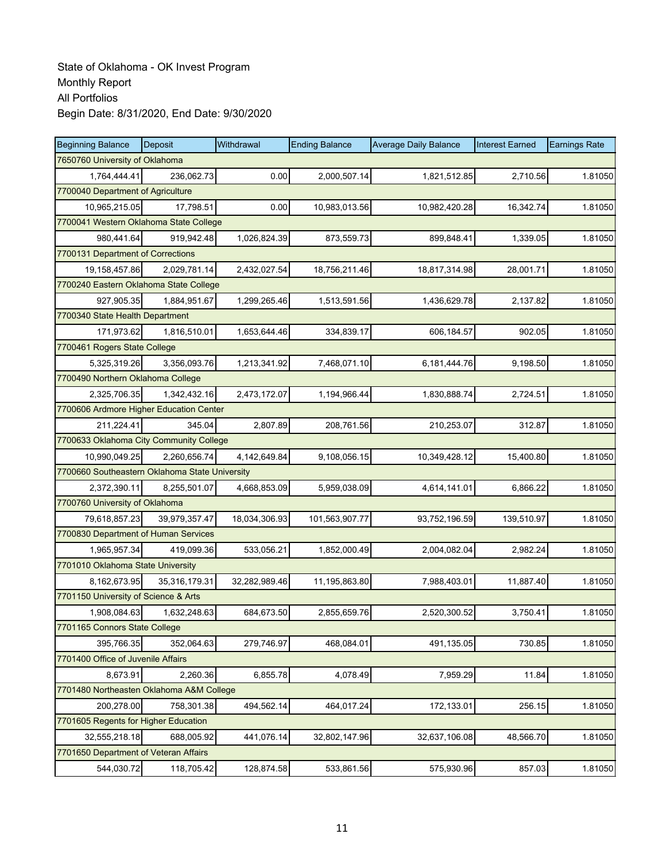| <b>Beginning Balance</b>                       | Deposit                                | Withdrawal    | <b>Ending Balance</b> | <b>Average Daily Balance</b> | <b>Interest Earned</b> | <b>Earnings Rate</b> |  |  |  |  |
|------------------------------------------------|----------------------------------------|---------------|-----------------------|------------------------------|------------------------|----------------------|--|--|--|--|
| 7650760 University of Oklahoma                 |                                        |               |                       |                              |                        |                      |  |  |  |  |
| 1.764.444.41                                   | 236,062.73                             | 0.00          | 2,000,507.14          | 1,821,512.85                 | 2,710.56               | 1.81050              |  |  |  |  |
| 7700040 Department of Agriculture              |                                        |               |                       |                              |                        |                      |  |  |  |  |
| 10,965,215.05                                  | 17,798.51                              | 0.00          | 10,983,013.56         | 10,982,420.28                | 16,342.74              | 1.81050              |  |  |  |  |
|                                                | 7700041 Western Oklahoma State College |               |                       |                              |                        |                      |  |  |  |  |
| 980,441.64                                     | 919,942.48                             | 1,026,824.39  | 873,559.73            | 899,848.41                   | 1,339.05               | 1.81050              |  |  |  |  |
| 7700131 Department of Corrections              |                                        |               |                       |                              |                        |                      |  |  |  |  |
| 19,158,457.86                                  | 2,029,781.14                           | 2,432,027.54  | 18,756,211.46         | 18,817,314.98                | 28,001.71              | 1.81050              |  |  |  |  |
| 7700240 Eastern Oklahoma State College         |                                        |               |                       |                              |                        |                      |  |  |  |  |
| 927,905.35                                     | 1,884,951.67                           | 1,299,265.46  | 1,513,591.56          | 1,436,629.78                 | 2,137.82               | 1.81050              |  |  |  |  |
| 7700340 State Health Department                |                                        |               |                       |                              |                        |                      |  |  |  |  |
| 171,973.62                                     | 1,816,510.01                           | 1,653,644.46  | 334,839.17            | 606,184.57                   | 902.05                 | 1.81050              |  |  |  |  |
| 7700461 Rogers State College                   |                                        |               |                       |                              |                        |                      |  |  |  |  |
| 5.325.319.26                                   | 3,356,093.76                           | 1,213,341.92  | 7,468,071.10          | 6,181,444.76                 | 9,198.50               | 1.81050              |  |  |  |  |
| 7700490 Northern Oklahoma College              |                                        |               |                       |                              |                        |                      |  |  |  |  |
| 2,325,706.35                                   | 1,342,432.16                           | 2,473,172.07  | 1,194,966.44          | 1,830,888.74                 | 2,724.51               | 1.81050              |  |  |  |  |
| 7700606 Ardmore Higher Education Center        |                                        |               |                       |                              |                        |                      |  |  |  |  |
| 211,224.41                                     | 345.04                                 | 2,807.89      | 208,761.56            | 210,253.07                   | 312.87                 | 1.81050              |  |  |  |  |
| 7700633 Oklahoma City Community College        |                                        |               |                       |                              |                        |                      |  |  |  |  |
| 10,990,049.25                                  | 2,260,656.74                           | 4,142,649.84  | 9,108,056.15          | 10,349,428.12                | 15,400.80              | 1.81050              |  |  |  |  |
| 7700660 Southeastern Oklahoma State University |                                        |               |                       |                              |                        |                      |  |  |  |  |
| 2,372,390.11                                   | 8,255,501.07                           | 4,668,853.09  | 5,959,038.09          | 4,614,141.01                 | 6,866.22               | 1.81050              |  |  |  |  |
| 7700760 University of Oklahoma                 |                                        |               |                       |                              |                        |                      |  |  |  |  |
| 79,618,857.23                                  | 39,979,357.47                          | 18,034,306.93 | 101,563,907.77        | 93,752,196.59                | 139,510.97             | 1.81050              |  |  |  |  |
| 7700830 Department of Human Services           |                                        |               |                       |                              |                        |                      |  |  |  |  |
| 1,965,957.34                                   | 419,099.36                             | 533,056.21    | 1,852,000.49          | 2,004,082.04                 | 2,982.24               | 1.81050              |  |  |  |  |
| 7701010 Oklahoma State University              |                                        |               |                       |                              |                        |                      |  |  |  |  |
| 8,162,673.95                                   | 35,316,179.31                          | 32,282,989.46 | 11,195,863.80         | 7,988,403.01                 | 11,887.40              | 1.81050              |  |  |  |  |
| 7701150 University of Science & Arts           |                                        |               |                       |                              |                        |                      |  |  |  |  |
| 1,908,084.63                                   | 1,632,248.63                           | 684,673.50    | 2,855,659.76          | 2,520,300.52                 | 3,750.41               | 1.81050              |  |  |  |  |
| 7701165 Connors State College                  |                                        |               |                       |                              |                        |                      |  |  |  |  |
| 395,766.35                                     | 352,064.63                             | 279,746.97    | 468,084.01            | 491,135.05                   | 730.85                 | 1.81050              |  |  |  |  |
| 7701400 Office of Juvenile Affairs             |                                        |               |                       |                              |                        |                      |  |  |  |  |
| 8,673.91                                       | 2,260.36                               | 6,855.78      | 4,078.49              | 7,959.29                     | 11.84                  | 1.81050              |  |  |  |  |
| 7701480 Northeasten Oklahoma A&M College       |                                        |               |                       |                              |                        |                      |  |  |  |  |
| 200,278.00                                     | 758,301.38                             | 494,562.14    | 464,017.24            | 172,133.01                   | 256.15                 | 1.81050              |  |  |  |  |
| 7701605 Regents for Higher Education           |                                        |               |                       |                              |                        |                      |  |  |  |  |
| 32,555,218.18                                  | 688,005.92                             | 441,076.14    | 32,802,147.96         | 32,637,106.08                | 48,566.70              | 1.81050              |  |  |  |  |
| 7701650 Department of Veteran Affairs          |                                        |               |                       |                              |                        |                      |  |  |  |  |
| 544,030.72                                     | 118,705.42                             | 128,874.58    | 533,861.56            | 575,930.96                   | 857.03                 | 1.81050              |  |  |  |  |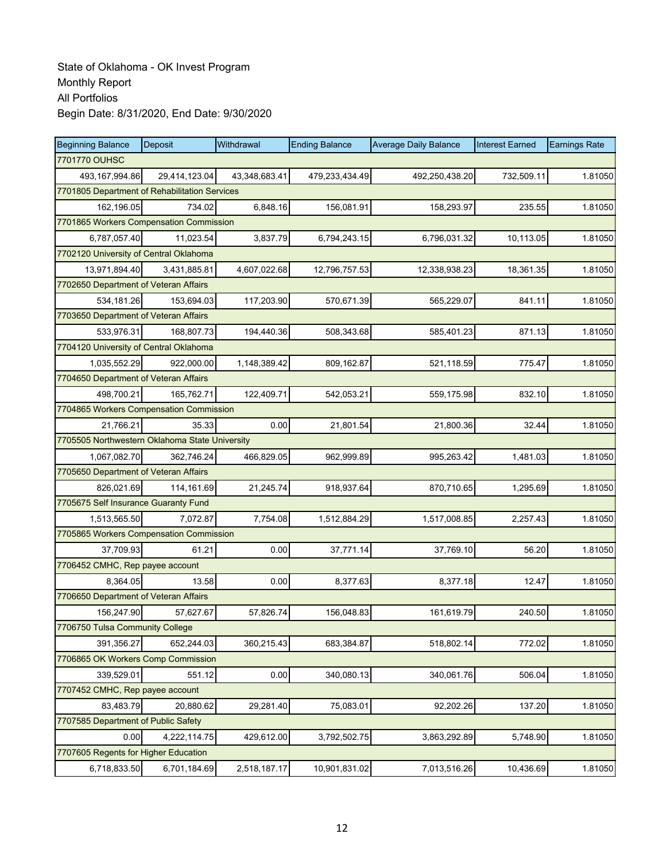| <b>Beginning Balance</b>                       | Deposit       | Withdrawal    | <b>Ending Balance</b> | <b>Average Daily Balance</b> | <b>Interest Earned</b> | <b>Earnings Rate</b> |  |  |
|------------------------------------------------|---------------|---------------|-----------------------|------------------------------|------------------------|----------------------|--|--|
| 7701770 OUHSC                                  |               |               |                       |                              |                        |                      |  |  |
| 493,167,994.86                                 | 29,414,123.04 | 43,348,683.41 | 479,233,434.49        | 492,250,438.20               | 732,509.11             | 1.81050              |  |  |
| 7701805 Department of Rehabilitation Services  |               |               |                       |                              |                        |                      |  |  |
| 162,196.05                                     | 734.02        | 6,848.16      | 156,081.91            | 158,293.97                   | 235.55                 | 1.81050              |  |  |
| 7701865 Workers Compensation Commission        |               |               |                       |                              |                        |                      |  |  |
| 6,787,057.40                                   | 11,023.54     | 3,837.79      | 6,794,243.15          | 6,796,031.32                 | 10,113.05              | 1.81050              |  |  |
| 7702120 University of Central Oklahoma         |               |               |                       |                              |                        |                      |  |  |
| 13,971,894.40                                  | 3,431,885.81  | 4,607,022.68  | 12,796,757.53         | 12,338,938.23                | 18,361.35              | 1.81050              |  |  |
| 7702650 Department of Veteran Affairs          |               |               |                       |                              |                        |                      |  |  |
| 534,181.26                                     | 153,694.03    | 117,203.90    | 570,671.39            | 565,229.07                   | 841.11                 | 1.81050              |  |  |
| 7703650 Department of Veteran Affairs          |               |               |                       |                              |                        |                      |  |  |
| 533,976.31                                     | 168,807.73    | 194,440.36    | 508,343.68            | 585,401.23                   | 871.13                 | 1.81050              |  |  |
| 7704120 University of Central Oklahoma         |               |               |                       |                              |                        |                      |  |  |
| 1,035,552.29                                   | 922,000.00    | 1,148,389.42  | 809,162.87            | 521,118.59                   | 775.47                 | 1.81050              |  |  |
| 7704650 Department of Veteran Affairs          |               |               |                       |                              |                        |                      |  |  |
| 498,700.21                                     | 165,762.71    | 122,409.71    | 542,053.21            | 559,175.98                   | 832.10                 | 1.81050              |  |  |
| 7704865 Workers Compensation Commission        |               |               |                       |                              |                        |                      |  |  |
| 21.766.21                                      | 35.33         | 0.00          | 21,801.54             | 21,800.36                    | 32.44                  | 1.81050              |  |  |
| 7705505 Northwestern Oklahoma State University |               |               |                       |                              |                        |                      |  |  |
| 1,067,082.70                                   | 362,746.24    | 466,829.05    | 962,999.89            | 995,263.42                   | 1,481.03               | 1.81050              |  |  |
| 7705650 Department of Veteran Affairs          |               |               |                       |                              |                        |                      |  |  |
| 826,021.69                                     | 114,161.69    | 21,245.74     | 918,937.64            | 870,710.65                   | 1,295.69               | 1.81050              |  |  |
| 7705675 Self Insurance Guaranty Fund           |               |               |                       |                              |                        |                      |  |  |
| 1,513,565.50                                   | 7,072.87      | 7,754.08      | 1,512,884.29          | 1,517,008.85                 | 2,257.43               | 1.81050              |  |  |
| 7705865 Workers Compensation Commission        |               |               |                       |                              |                        |                      |  |  |
| 37,709.93                                      | 61.21         | 0.00          | 37,771.14             | 37,769.10                    | 56.20                  | 1.81050              |  |  |
| 7706452 CMHC, Rep payee account                |               |               |                       |                              |                        |                      |  |  |
| 8,364.05                                       | 13.58         | 0.00          | 8,377.63              | 8.377.18                     | 12.47                  | 1.81050              |  |  |
| 7706650 Department of Veteran Affairs          |               |               |                       |                              |                        |                      |  |  |
| 156,247.90                                     | 57,627.67     | 57,826.74     | 156,048.83            | 161,619.79                   | 240.50                 | 1.81050              |  |  |
| 7706750 Tulsa Community College                |               |               |                       |                              |                        |                      |  |  |
| 391,356.27                                     | 652,244.03    | 360,215.43    | 683,384.87            | 518,802.14                   | 772.02                 | 1.81050              |  |  |
| 7706865 OK Workers Comp Commission             |               |               |                       |                              |                        |                      |  |  |
| 339,529.01                                     | 551.12        | 0.00          | 340,080.13            | 340,061.76                   | 506.04                 | 1.81050              |  |  |
| 7707452 CMHC, Rep payee account                |               |               |                       |                              |                        |                      |  |  |
| 83,483.79                                      | 20,880.62     | 29,281.40     | 75,083.01             | 92,202.26                    | 137.20                 | 1.81050              |  |  |
| 7707585 Department of Public Safety            |               |               |                       |                              |                        |                      |  |  |
| 0.00                                           | 4,222,114.75  | 429,612.00    | 3,792,502.75          | 3,863,292.89                 | 5,748.90               | 1.81050              |  |  |
| 7707605 Regents for Higher Education           |               |               |                       |                              |                        |                      |  |  |
| 6,718,833.50                                   | 6,701,184.69  | 2,518,187.17  | 10,901,831.02         | 7,013,516.26                 | 10,436.69              | 1.81050              |  |  |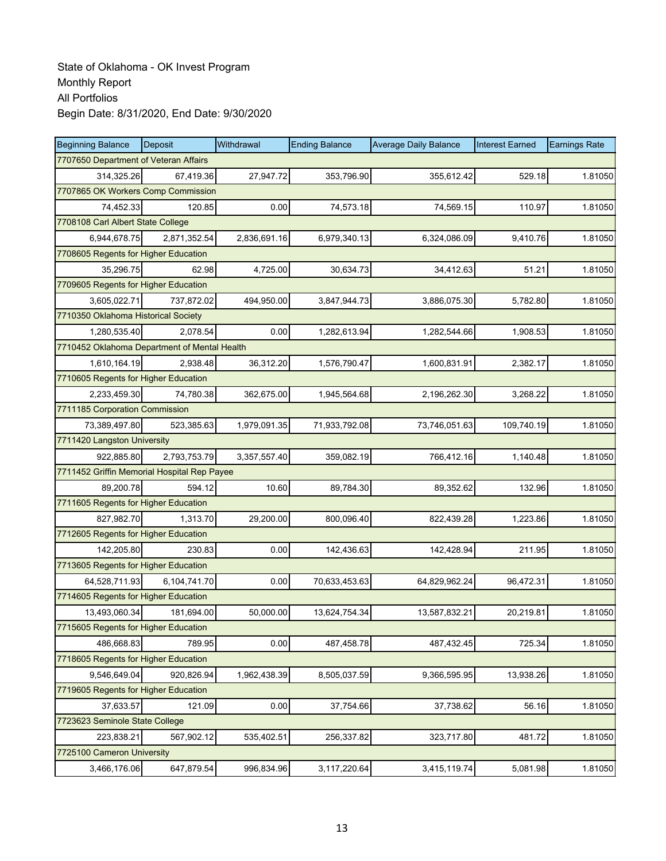| <b>Beginning Balance</b>                     | <b>Deposit</b> | Withdrawal   | <b>Ending Balance</b> | <b>Average Daily Balance</b> | <b>Interest Earned</b> | <b>Earnings Rate</b> |  |  |
|----------------------------------------------|----------------|--------------|-----------------------|------------------------------|------------------------|----------------------|--|--|
| 7707650 Department of Veteran Affairs        |                |              |                       |                              |                        |                      |  |  |
| 314.325.26                                   | 67,419.36      | 27,947.72    | 353,796.90            | 355,612.42                   | 529.18                 | 1.81050              |  |  |
| 7707865 OK Workers Comp Commission           |                |              |                       |                              |                        |                      |  |  |
| 74,452.33                                    | 120.85         | 0.00         | 74,573.18             | 74,569.15                    | 110.97                 | 1.81050              |  |  |
| 7708108 Carl Albert State College            |                |              |                       |                              |                        |                      |  |  |
| 6,944,678.75                                 | 2,871,352.54   | 2,836,691.16 | 6,979,340.13          | 6,324,086.09                 | 9,410.76               | 1.81050              |  |  |
| 7708605 Regents for Higher Education         |                |              |                       |                              |                        |                      |  |  |
| 35,296.75                                    | 62.98          | 4,725.00     | 30,634.73             | 34,412.63                    | 51.21                  | 1.81050              |  |  |
| 7709605 Regents for Higher Education         |                |              |                       |                              |                        |                      |  |  |
| 3,605,022.71                                 | 737,872.02     | 494,950.00   | 3,847,944.73          | 3,886,075.30                 | 5,782.80               | 1.81050              |  |  |
| 7710350 Oklahoma Historical Society          |                |              |                       |                              |                        |                      |  |  |
| 1,280,535.40                                 | 2,078.54       | 0.00         | 1,282,613.94          | 1,282,544.66                 | 1,908.53               | 1.81050              |  |  |
| 7710452 Oklahoma Department of Mental Health |                |              |                       |                              |                        |                      |  |  |
| 1,610,164.19                                 | 2,938.48       | 36,312.20    | 1,576,790.47          | 1,600,831.91                 | 2,382.17               | 1.81050              |  |  |
| 7710605 Regents for Higher Education         |                |              |                       |                              |                        |                      |  |  |
| 2,233,459.30                                 | 74,780.38      | 362,675.00   | 1,945,564.68          | 2,196,262.30                 | 3,268.22               | 1.81050              |  |  |
| 7711185 Corporation Commission               |                |              |                       |                              |                        |                      |  |  |
| 73,389,497.80                                | 523,385.63     | 1,979,091.35 | 71,933,792.08         | 73,746,051.63                | 109,740.19             | 1.81050              |  |  |
| 7711420 Langston University                  |                |              |                       |                              |                        |                      |  |  |
| 922,885.80                                   | 2,793,753.79   | 3,357,557.40 | 359,082.19            | 766,412.16                   | 1,140.48               | 1.81050              |  |  |
| 7711452 Griffin Memorial Hospital Rep Payee  |                |              |                       |                              |                        |                      |  |  |
| 89,200.78                                    | 594.12         | 10.60        | 89,784.30             | 89,352.62                    | 132.96                 | 1.81050              |  |  |
| 7711605 Regents for Higher Education         |                |              |                       |                              |                        |                      |  |  |
| 827,982.70                                   | 1,313.70       | 29,200.00    | 800,096.40            | 822,439.28                   | 1,223.86               | 1.81050              |  |  |
| 7712605 Regents for Higher Education         |                |              |                       |                              |                        |                      |  |  |
| 142.205.80                                   | 230.83         | 0.00         | 142,436.63            | 142,428.94                   | 211.95                 | 1.81050              |  |  |
| 7713605 Regents for Higher Education         |                |              |                       |                              |                        |                      |  |  |
| 64,528,711.93                                | 6,104,741.70   | 0.00         | 70,633,453.63         | 64,829,962.24                | 96,472.31              | 1.81050              |  |  |
| 7714605 Regents for Higher Education         |                |              |                       |                              |                        |                      |  |  |
| 13,493,060.34                                | 181,694.00     | 50,000.00    | 13,624,754.34         | 13,587,832.21                | 20,219.81              | 1.81050              |  |  |
| 7715605 Regents for Higher Education         |                |              |                       |                              |                        |                      |  |  |
| 486,668.83                                   | 789.95         | 0.00         | 487,458.78            | 487,432.45                   | 725.34                 | 1.81050              |  |  |
| 7718605 Regents for Higher Education         |                |              |                       |                              |                        |                      |  |  |
| 9,546,649.04                                 | 920,826.94     | 1,962,438.39 | 8,505,037.59          | 9,366,595.95                 | 13,938.26              | 1.81050              |  |  |
| 7719605 Regents for Higher Education         |                |              |                       |                              |                        |                      |  |  |
| 37,633.57                                    | 121.09         | 0.00         | 37,754.66             | 37,738.62                    | 56.16                  | 1.81050              |  |  |
| 7723623 Seminole State College               |                |              |                       |                              |                        |                      |  |  |
| 223,838.21                                   | 567,902.12     | 535,402.51   | 256,337.82            | 323,717.80                   | 481.72                 | 1.81050              |  |  |
| 7725100 Cameron University                   |                |              |                       |                              |                        |                      |  |  |
| 3,466,176.06                                 | 647,879.54     | 996,834.96   | 3,117,220.64          | 3,415,119.74                 | 5,081.98               | 1.81050              |  |  |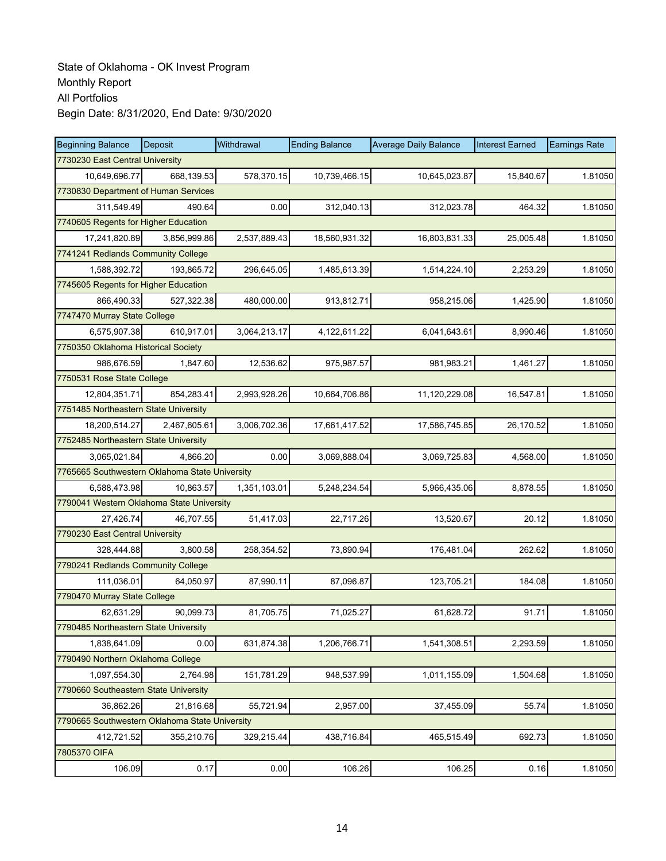| <b>Beginning Balance</b>                       | <b>Deposit</b> | Withdrawal   | <b>Ending Balance</b> | <b>Average Daily Balance</b> | <b>Interest Earned</b> | <b>Earnings Rate</b> |  |  |
|------------------------------------------------|----------------|--------------|-----------------------|------------------------------|------------------------|----------------------|--|--|
| 7730230 East Central University                |                |              |                       |                              |                        |                      |  |  |
| 10,649,696.77                                  | 668.139.53     | 578,370.15   | 10,739,466.15         | 10,645,023.87                | 15,840.67              | 1.81050              |  |  |
| 7730830 Department of Human Services           |                |              |                       |                              |                        |                      |  |  |
| 311,549.49                                     | 490.64         | 0.00         | 312,040.13            | 312,023.78                   | 464.32                 | 1.81050              |  |  |
| 7740605 Regents for Higher Education           |                |              |                       |                              |                        |                      |  |  |
| 17,241,820.89                                  | 3,856,999.86   | 2,537,889.43 | 18,560,931.32         | 16,803,831.33                | 25,005.48              | 1.81050              |  |  |
| 7741241 Redlands Community College             |                |              |                       |                              |                        |                      |  |  |
| 1,588,392.72                                   | 193,865.72     | 296,645.05   | 1,485,613.39          | 1,514,224.10                 | 2,253.29               | 1.81050              |  |  |
| 7745605 Regents for Higher Education           |                |              |                       |                              |                        |                      |  |  |
| 866,490.33                                     | 527,322.38     | 480,000.00   | 913,812.71            | 958,215.06                   | 1,425.90               | 1.81050              |  |  |
| 7747470 Murray State College                   |                |              |                       |                              |                        |                      |  |  |
| 6,575,907.38                                   | 610,917.01     | 3,064,213.17 | 4,122,611.22          | 6,041,643.61                 | 8,990.46               | 1.81050              |  |  |
| 7750350 Oklahoma Historical Society            |                |              |                       |                              |                        |                      |  |  |
| 986.676.59                                     | 1,847.60       | 12,536.62    | 975,987.57            | 981,983.21                   | 1,461.27               | 1.81050              |  |  |
| 7750531 Rose State College                     |                |              |                       |                              |                        |                      |  |  |
| 12,804,351.71                                  | 854,283.41     | 2,993,928.26 | 10,664,706.86         | 11,120,229.08                | 16,547.81              | 1.81050              |  |  |
| 7751485 Northeastern State University          |                |              |                       |                              |                        |                      |  |  |
| 18,200,514.27                                  | 2,467,605.61   | 3,006,702.36 | 17,661,417.52         | 17,586,745.85                | 26,170.52              | 1.81050              |  |  |
| 7752485 Northeastern State University          |                |              |                       |                              |                        |                      |  |  |
| 3,065,021.84                                   | 4,866.20       | 0.00         | 3,069,888.04          | 3,069,725.83                 | 4,568.00               | 1.81050              |  |  |
| 7765665 Southwestern Oklahoma State University |                |              |                       |                              |                        |                      |  |  |
| 6,588,473.98                                   | 10,863.57      | 1,351,103.01 | 5,248,234.54          | 5,966,435.06                 | 8,878.55               | 1.81050              |  |  |
| 7790041 Western Oklahoma State University      |                |              |                       |                              |                        |                      |  |  |
| 27,426.74                                      | 46,707.55      | 51,417.03    | 22,717.26             | 13,520.67                    | 20.12                  | 1.81050              |  |  |
| 7790230 East Central University                |                |              |                       |                              |                        |                      |  |  |
| 328,444.88                                     | 3,800.58       | 258,354.52   | 73,890.94             | 176,481.04                   | 262.62                 | 1.81050              |  |  |
| 7790241 Redlands Community College             |                |              |                       |                              |                        |                      |  |  |
| 111,036.01                                     | 64,050.97      | 87,990.11    | 87,096.87             | 123,705.21                   | 184.08                 | 1.81050              |  |  |
| 7790470 Murray State College                   |                |              |                       |                              |                        |                      |  |  |
| 62,631.29                                      | 90,099.73      | 81,705.75    | 71,025.27             | 61,628.72                    | 91.71                  | 1.81050              |  |  |
| 7790485 Northeastern State University          |                |              |                       |                              |                        |                      |  |  |
| 1,838,641.09                                   | 0.00           | 631,874.38   | 1,206,766.71          | 1,541,308.51                 | 2,293.59               | 1.81050              |  |  |
| 7790490 Northern Oklahoma College              |                |              |                       |                              |                        |                      |  |  |
| 1,097,554.30                                   | 2,764.98       | 151,781.29   | 948,537.99            | 1,011,155.09                 | 1,504.68               | 1.81050              |  |  |
| 7790660 Southeastern State University          |                |              |                       |                              |                        |                      |  |  |
| 36,862.26                                      | 21,816.68      | 55,721.94    | 2,957.00              | 37,455.09                    | 55.74                  | 1.81050              |  |  |
| 7790665 Southwestern Oklahoma State University |                |              |                       |                              |                        |                      |  |  |
| 412,721.52                                     | 355,210.76     | 329,215.44   | 438,716.84            | 465,515.49                   | 692.73                 | 1.81050              |  |  |
| 7805370 OIFA                                   |                |              |                       |                              |                        |                      |  |  |
| 106.09                                         | 0.17           | 0.00         | 106.26                | 106.25                       | 0.16                   | 1.81050              |  |  |